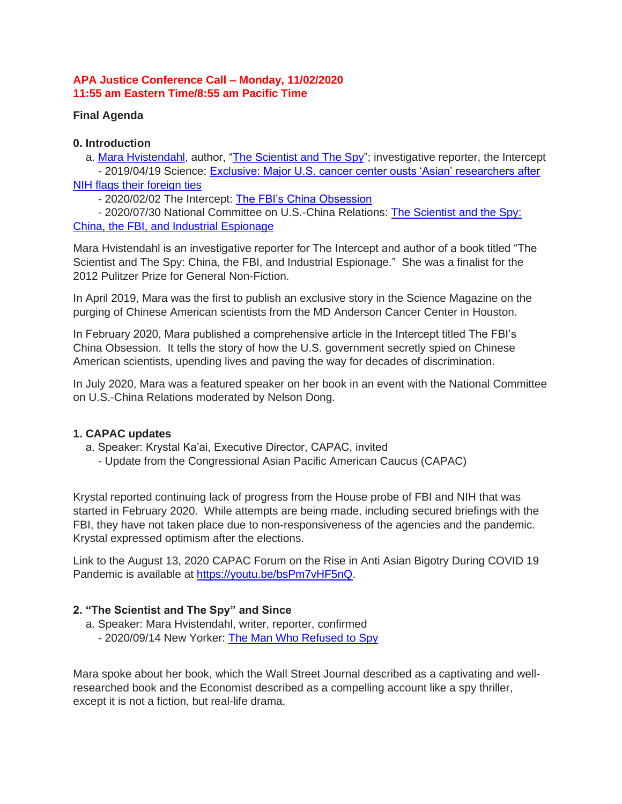#### **APA Justice Conference Call – Monday, 11/02/2020 11:55 am Eastern Time/8:55 am Pacific Time**

## **Final Agenda**

## **0. Introduction**

a. [Mara Hvistendahl,](http://bit.ly/2uoXzQr) author, ["The Scientist and The Spy"](https://amzn.to/3ojYBVc); investigative reporter, the Intercept - 2019/04/19 Science: Exclusive: Major U.S. cancer center ousts 'Asian' researchers after

## [NIH flags their foreign ties](http://bit.ly/2Qozwcn)

- 2020/02/02 The Intercept: [The FBI's China Obsession](http://bit.ly/2S39ZqA)

- 2020/07/30 National Committee on U.S.-China Relations: [The Scientist and the Spy:](https://bit.ly/2HoTLp1)  [China, the FBI, and Industrial Espionage](https://bit.ly/2HoTLp1)

Mara Hvistendahl is an investigative reporter for The Intercept and author of a book titled "The Scientist and The Spy: China, the FBI, and Industrial Espionage." She was a finalist for the 2012 Pulitzer Prize for General Non-Fiction.

In April 2019, Mara was the first to publish an exclusive story in the Science Magazine on the purging of Chinese American scientists from the MD Anderson Cancer Center in Houston.

In February 2020, Mara published a comprehensive article in the Intercept titled The FBI's China Obsession. It tells the story of how the U.S. government secretly spied on Chinese American scientists, upending lives and paving the way for decades of discrimination.

In July 2020, Mara was a featured speaker on her book in an event with the National Committee on U.S.-China Relations moderated by Nelson Dong.

# **1. CAPAC updates**

- a. Speaker: Krystal Ka'ai, Executive Director, CAPAC, invited
	- Update from the Congressional Asian Pacific American Caucus (CAPAC)

Krystal reported continuing lack of progress from the House probe of FBI and NIH that was started in February 2020. While attempts are being made, including secured briefings with the FBI, they have not taken place due to non-responsiveness of the agencies and the pandemic. Krystal expressed optimism after the elections.

Link to the August 13, 2020 CAPAC Forum on the Rise in Anti Asian Bigotry During COVID 19 Pandemic is available at [https://youtu.be/bsPm7vHF5nQ.](https://youtu.be/bsPm7vHF5nQ)

# **2. "The Scientist and The Spy" and Since**

- a. Speaker: Mara Hvistendahl, writer, reporter, confirmed
	- 2020/09/14 New Yorker: [The Man Who Refused to Spy](https://bit.ly/2EhArJ3)

Mara spoke about her book, which the Wall Street Journal described as a captivating and wellresearched book and the Economist described as a compelling account like a spy thriller, except it is not a fiction, but real-life drama.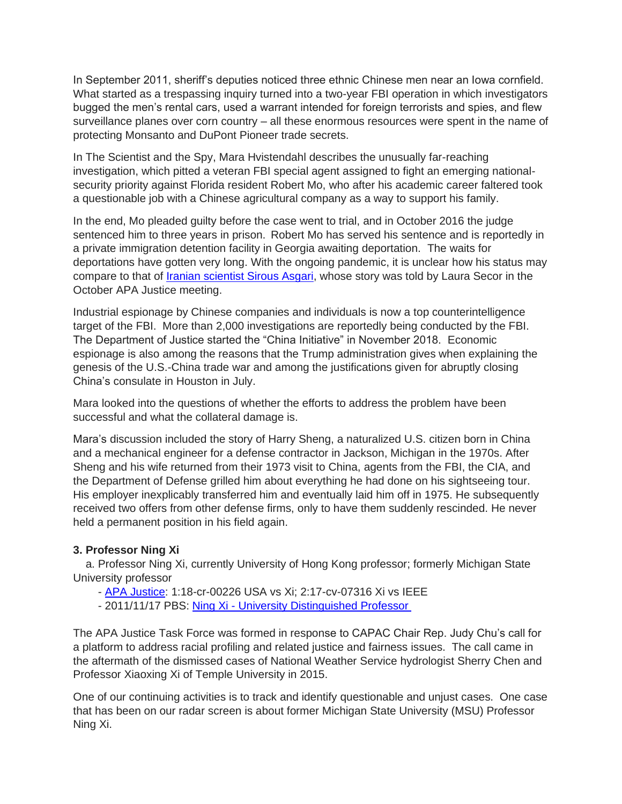In September 2011, sheriff's deputies noticed three ethnic Chinese men near an Iowa cornfield. What started as a trespassing inquiry turned into a two-year FBI operation in which investigators bugged the men's rental cars, used a warrant intended for foreign terrorists and spies, and flew surveillance planes over corn country – all these enormous resources were spent in the name of protecting Monsanto and DuPont Pioneer trade secrets.

In The Scientist and the Spy, Mara Hvistendahl describes the unusually far-reaching investigation, which pitted a veteran FBI special agent assigned to fight an emerging nationalsecurity priority against Florida resident Robert Mo, who after his academic career faltered took a questionable job with a Chinese agricultural company as a way to support his family.

In the end, Mo pleaded guilty before the case went to trial, and in October 2016 the judge sentenced him to three years in prison. Robert Mo has served his sentence and is reportedly in a private immigration detention facility in Georgia awaiting deportation. The waits for deportations have gotten very long. With the ongoing pandemic, it is unclear how his status may compare to that of [Iranian scientist Sirous Asgari,](https://bit.ly/2ZXyqJx) whose story was told by Laura Secor in the October APA Justice meeting.

Industrial espionage by Chinese companies and individuals is now a top counterintelligence target of the FBI. More than 2,000 investigations are reportedly being conducted by the FBI. The Department of Justice started the "China Initiative" in November 2018. Economic espionage is also among the reasons that the Trump administration gives when explaining the genesis of the U.S.-China trade war and among the justifications given for abruptly closing China's consulate in Houston in July.

Mara looked into the questions of whether the efforts to address the problem have been successful and what the collateral damage is.

Mara's discussion included the story of Harry Sheng, a naturalized U.S. citizen born in China and a mechanical engineer for a defense contractor in Jackson, Michigan in the 1970s. After Sheng and his wife returned from their 1973 visit to China, agents from the FBI, the CIA, and the Department of Defense grilled him about everything he had done on his sightseeing tour. His employer inexplicably transferred him and eventually laid him off in 1975. He subsequently received two offers from other defense firms, only to have them suddenly rescinded. He never held a permanent position in his field again.

#### **3. Professor Ning Xi**

a. Professor Ning Xi, currently University of Hong Kong professor; formerly Michigan State University professor

- [APA Justice:](https://bit.ly/3mjtNlG) 1:18-cr-00226 USA vs Xi; 2:17-cv-07316 Xi vs IEEE

- 2011/11/17 PBS: Ning Xi - [University Distinguished Professor](https://bit.ly/35WhXaP)

The APA Justice Task Force was formed in response to CAPAC Chair Rep. Judy Chu's call for a platform to address racial profiling and related justice and fairness issues. The call came in the aftermath of the dismissed cases of National Weather Service hydrologist Sherry Chen and Professor Xiaoxing Xi of Temple University in 2015.

One of our continuing activities is to track and identify questionable and unjust cases. One case that has been on our radar screen is about former Michigan State University (MSU) Professor Ning Xi.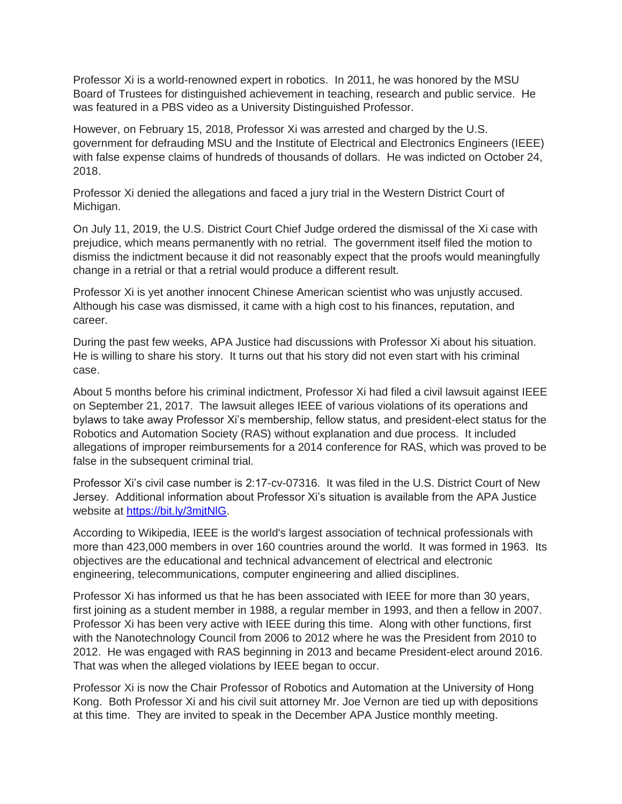Professor Xi is a world-renowned expert in robotics. In 2011, he was honored by the MSU Board of Trustees for distinguished achievement in teaching, research and public service. He was featured in a PBS video as a University Distinguished Professor.

However, on February 15, 2018, Professor Xi was arrested and charged by the U.S. government for defrauding MSU and the Institute of Electrical and Electronics Engineers (IEEE) with false expense claims of hundreds of thousands of dollars. He was indicted on October 24, 2018.

Professor Xi denied the allegations and faced a jury trial in the Western District Court of Michigan.

On July 11, 2019, the U.S. District Court Chief Judge ordered the dismissal of the Xi case with prejudice, which means permanently with no retrial. The government itself filed the motion to dismiss the indictment because it did not reasonably expect that the proofs would meaningfully change in a retrial or that a retrial would produce a different result.

Professor Xi is yet another innocent Chinese American scientist who was unjustly accused. Although his case was dismissed, it came with a high cost to his finances, reputation, and career.

During the past few weeks, APA Justice had discussions with Professor Xi about his situation. He is willing to share his story. It turns out that his story did not even start with his criminal case.

About 5 months before his criminal indictment, Professor Xi had filed a civil lawsuit against IEEE on September 21, 2017. The lawsuit alleges IEEE of various violations of its operations and bylaws to take away Professor Xi's membership, fellow status, and president-elect status for the Robotics and Automation Society (RAS) without explanation and due process. It included allegations of improper reimbursements for a 2014 conference for RAS, which was proved to be false in the subsequent criminal trial.

Professor Xi's civil case number is 2:17-cv-07316. It was filed in the U.S. District Court of New Jersey. Additional information about Professor Xi's situation is available from the APA Justice website at [https://bit.ly/3mjtNlG.](https://bit.ly/3mjtNlG)

According to Wikipedia, IEEE is the world's largest association of technical professionals with more than 423,000 members in over 160 countries around the world. It was formed in 1963. Its objectives are the educational and technical advancement of electrical and electronic engineering, telecommunications, computer engineering and allied disciplines.

Professor Xi has informed us that he has been associated with IEEE for more than 30 years, first joining as a student member in 1988, a regular member in 1993, and then a fellow in 2007. Professor Xi has been very active with IEEE during this time. Along with other functions, first with the Nanotechnology Council from 2006 to 2012 where he was the President from 2010 to 2012. He was engaged with RAS beginning in 2013 and became President-elect around 2016. That was when the alleged violations by IEEE began to occur.

Professor Xi is now the Chair Professor of Robotics and Automation at the University of Hong Kong. Both Professor Xi and his civil suit attorney Mr. Joe Vernon are tied up with depositions at this time. They are invited to speak in the December APA Justice monthly meeting.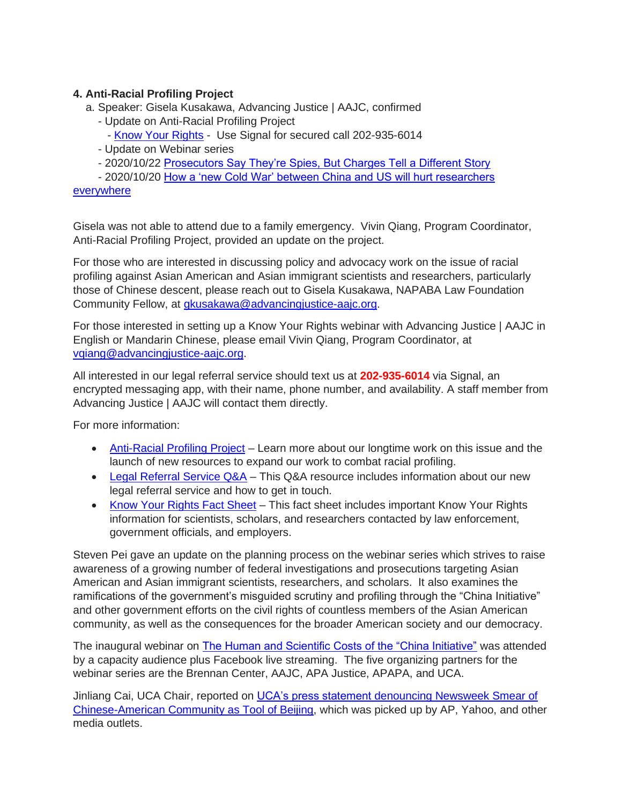## **4. Anti-Racial Profiling Project**

- a. Speaker: Gisela Kusakawa, Advancing Justice | AAJC, confirmed
	- Update on Anti-Racial Profiling Project
		- [Know Your Rights](https://bit.ly/3nMpwcn) Use Signal for secured call 202-935-6014
	- Update on Webinar series
	- 2020/10/22 [Prosecutors Say They're Spies, But Charges Tell a Different Story](https://bloom.bg/3dVMBEB)

- 2020/10/20 [How a 'new Cold War' between China and US will hurt researchers](https://bit.ly/3mbv3r5) 

[everywhere](https://bit.ly/3mbv3r5)

Gisela was not able to attend due to a family emergency. Vivin Qiang, Program Coordinator, Anti-Racial Profiling Project, provided an update on the project.

For those who are interested in discussing policy and advocacy work on the issue of racial profiling against Asian American and Asian immigrant scientists and researchers, particularly those of Chinese descent, please reach out to Gisela Kusakawa, NAPABA Law Foundation Community Fellow, at [gkusakawa@advancingjustice-aajc.org.](mailto:gkusakawa@advancingjustice-aajc.org)

For those interested in setting up a Know Your Rights webinar with Advancing Justice | AAJC in English or Mandarin Chinese, please email Vivin Qiang, Program Coordinator, at [vqiang@advancingjustice-aajc.org.](mailto:vqiang@advancingjustice-aajc.org)

All interested in our legal referral service should text us at **202-935-6014** via Signal, an encrypted messaging app, with their name, phone number, and availability. A staff member from Advancing Justice | AAJC will contact them directly.

For more information:

- [Anti-Racial Profiling Project](https://www.advancingjustice-aajc.org/anti-racial-profiling-project) Learn more about our longtime work on this issue and the launch of new resources to expand our work to combat racial profiling.
- [Legal Referral Service Q&A](https://advancingjustice-aajc.org/sites/default/files/2020-10/Legal%20Referral%20Service%20Q%26A.pdf) This Q&A resource includes information about our new legal referral service and how to get in touch.
- [Know Your Rights Fact Sheet](https://advancingjustice-aajc.org/sites/default/files/FINAL%20Know%20Your%20Rights%20-%20Chinese%20Scientists%20%20Researchers%20%28GPK%2010.7.2020%29%20-%20Clean%20Copy.pdf) This fact sheet includes important Know Your Rights information for scientists, scholars, and researchers contacted by law enforcement, government officials, and employers.

Steven Pei gave an update on the planning process on the webinar series which strives to raise awareness of a growing number of federal investigations and prosecutions targeting Asian American and Asian immigrant scientists, researchers, and scholars. It also examines the ramifications of the government's misguided scrutiny and profiling through the "China Initiative" and other government efforts on the civil rights of countless members of the Asian American community, as well as the consequences for the broader American society and our democracy.

The inaugural webinar on [The Human and Scientific Costs of the "China Initiative"](https://bit.ly/3kFFOS2) was attended by a capacity audience plus Facebook live streaming. The five organizing partners for the webinar series are the Brennan Center, AAJC, APA Justice, APAPA, and UCA.

Jinliang Cai, UCA Chair, reported on [UCA's press statement denouncing Newsweek Smear of](https://bit.ly/3ed7go0)  [Chinese-American Community as Tool of Beijing,](https://bit.ly/3ed7go0) which was picked up by AP, Yahoo, and other media outlets.